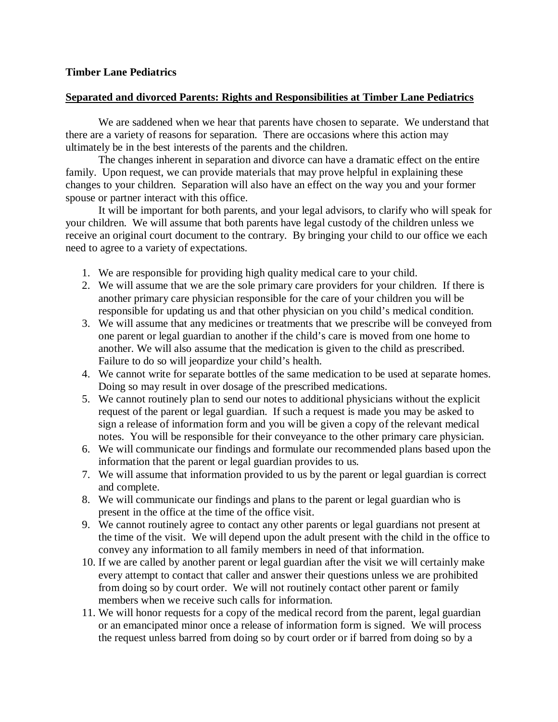## **Timber Lane Pediatrics**

## **Separated and divorced Parents: Rights and Responsibilities at Timber Lane Pediatrics**

We are saddened when we hear that parents have chosen to separate. We understand that there are a variety of reasons for separation. There are occasions where this action may ultimately be in the best interests of the parents and the children.

The changes inherent in separation and divorce can have a dramatic effect on the entire family. Upon request, we can provide materials that may prove helpful in explaining these changes to your children. Separation will also have an effect on the way you and your former spouse or partner interact with this office.

It will be important for both parents, and your legal advisors, to clarify who will speak for your children. We will assume that both parents have legal custody of the children unless we receive an original court document to the contrary. By bringing your child to our office we each need to agree to a variety of expectations.

- 1. We are responsible for providing high quality medical care to your child.
- 2. We will assume that we are the sole primary care providers for your children. If there is another primary care physician responsible for the care of your children you will be responsible for updating us and that other physician on you child's medical condition.
- 3. We will assume that any medicines or treatments that we prescribe will be conveyed from one parent or legal guardian to another if the child's care is moved from one home to another. We will also assume that the medication is given to the child as prescribed. Failure to do so will jeopardize your child's health.
- 4. We cannot write for separate bottles of the same medication to be used at separate homes. Doing so may result in over dosage of the prescribed medications.
- 5. We cannot routinely plan to send our notes to additional physicians without the explicit request of the parent or legal guardian. If such a request is made you may be asked to sign a release of information form and you will be given a copy of the relevant medical notes. You will be responsible for their conveyance to the other primary care physician.
- 6. We will communicate our findings and formulate our recommended plans based upon the information that the parent or legal guardian provides to us.
- 7. We will assume that information provided to us by the parent or legal guardian is correct and complete.
- 8. We will communicate our findings and plans to the parent or legal guardian who is present in the office at the time of the office visit.
- 9. We cannot routinely agree to contact any other parents or legal guardians not present at the time of the visit. We will depend upon the adult present with the child in the office to convey any information to all family members in need of that information.
- 10. If we are called by another parent or legal guardian after the visit we will certainly make every attempt to contact that caller and answer their questions unless we are prohibited from doing so by court order. We will not routinely contact other parent or family members when we receive such calls for information.
- 11. We will honor requests for a copy of the medical record from the parent, legal guardian or an emancipated minor once a release of information form is signed. We will process the request unless barred from doing so by court order or if barred from doing so by a